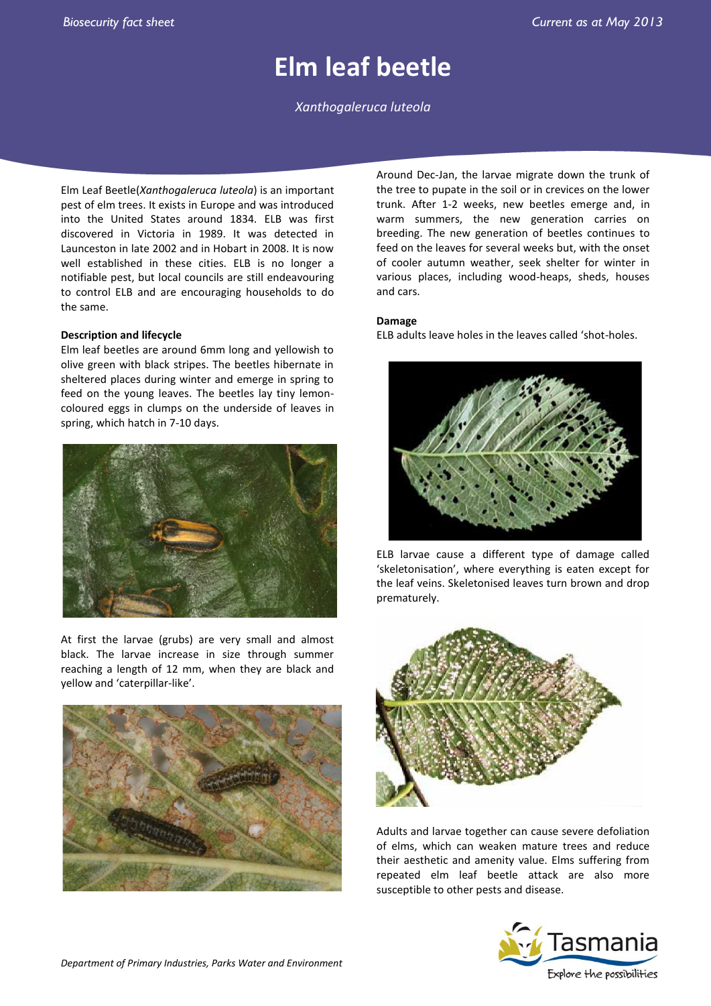# **Elm leaf beetle**

*Xanthogaleruca luteola*

Elm Leaf Beetle(*Xanthogaleruca luteola*) is an important pest of elm trees. It exists in Europe and was introduced into the United States around 1834. ELB was first discovered in Victoria in 1989. It was detected in Launceston in late 2002 and in Hobart in 2008. It is now well established in these cities. ELB is no longer a notifiable pest, but local councils are still endeavouring to control ELB and are encouraging households to do the same.

# **Description and lifecycle**

Elm leaf beetles are around 6mm long and yellowish to olive green with black stripes. The beetles hibernate in sheltered places during winter and emerge in spring to feed on the young leaves. The beetles lay tiny lemoncoloured eggs in clumps on the underside of leaves in spring, which hatch in 7-10 days.



At first the larvae (grubs) are very small and almost black. The larvae increase in size through summer reaching a length of 12 mm, when they are black and yellow and 'caterpillar-like'.



Around Dec-Jan, the larvae migrate down the trunk of the tree to pupate in the soil or in crevices on the lower trunk. After 1-2 weeks, new beetles emerge and, in warm summers, the new generation carries on breeding. The new generation of beetles continues to feed on the leaves for several weeks but, with the onset of cooler autumn weather, seek shelter for winter in various places, including wood-heaps, sheds, houses and cars.

# **Damage**

ELB adults leave holes in the leaves called 'shot-holes.



ELB larvae cause a different type of damage called 'skeletonisation', where everything is eaten except for the leaf veins. Skeletonised leaves turn brown and drop prematurely.



Adults and larvae together can cause severe defoliation of elms, which can weaken mature trees and reduce their aesthetic and amenity value. Elms suffering from repeated elm leaf beetle attack are also more susceptible to other pests and disease.